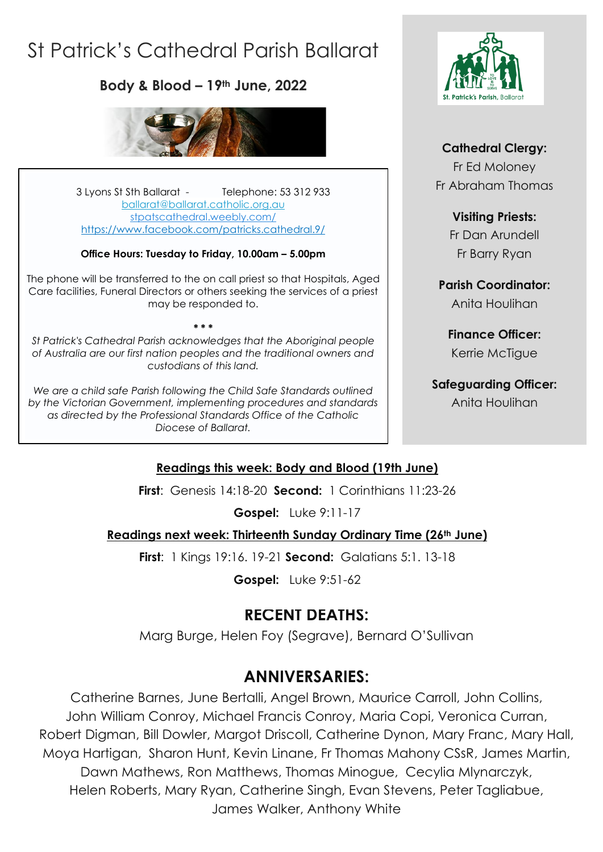# St Patrick's Cathedral Parish Ballarat

**Body & Blood – 19th June, 2022**



3 Lyons St Sth Ballarat - Telephone: 53 312 933 [ballarat@ballarat.catholic.org.au](mailto:ballarat@ballarat.catholic.org.au)  [stpatscathedral.weebly.com/](https://stpatscathedral.weebly.com/) <https://www.facebook.com/patricks.cathedral.9/>

#### **Office Hours: Tuesday to Friday, 10.00am – 5.00pm**

The phone will be transferred to the on call priest so that Hospitals, Aged Care facilities, Funeral Directors or others seeking the services of a priest may be responded to.

*St Patrick's Cathedral Parish acknowledges that the Aboriginal people of Australia are our first nation peoples and the traditional owners and custodians of this land.*

**\* \* \***

*We are a child safe Parish following the Child Safe Standards outlined by the Victorian Government, implementing procedures and standards as directed by the Professional Standards Office of the Catholic Diocese of Ballarat.*



#### **Cathedral Clergy:**

Fr Ed Moloney Fr Abraham Thomas

#### **Visiting Priests:**

Fr Dan Arundell Fr Barry Ryan

**Parish Coordinator:** Anita Houlihan

**Finance Officer:** Kerrie McTigue

### **Safeguarding Officer:**

Anita Houlihan

#### **Readings this week: Body and Blood (19th June)**

**First**: Genesis 14:18-20 **Second:** 1 Corinthians 11:23-26

**Gospel:** Luke 9:11-17

#### **Readings next week: Thirteenth Sunday Ordinary Time (26th June)**

**First**: 1 Kings 19:16. 19-21 **Second:** Galatians 5:1. 13-18

**Gospel:** Luke 9:51-62

# **RECENT DEATHS:**

Marg Burge, Helen Foy (Segrave), Bernard O'Sullivan

# **ANNIVERSARIES:**

Catherine Barnes, June Bertalli, Angel Brown, Maurice Carroll, John Collins, John William Conroy, Michael Francis Conroy, Maria Copi, Veronica Curran, Robert Digman, Bill Dowler, Margot Driscoll, Catherine Dynon, Mary Franc, Mary Hall, Moya Hartigan, Sharon Hunt, Kevin Linane, Fr Thomas Mahony CSsR, James Martin, Dawn Mathews, Ron Matthews, Thomas Minogue, Cecylia Mlynarczyk, Helen Roberts, Mary Ryan, Catherine Singh, Evan Stevens, Peter Tagliabue, James Walker, Anthony White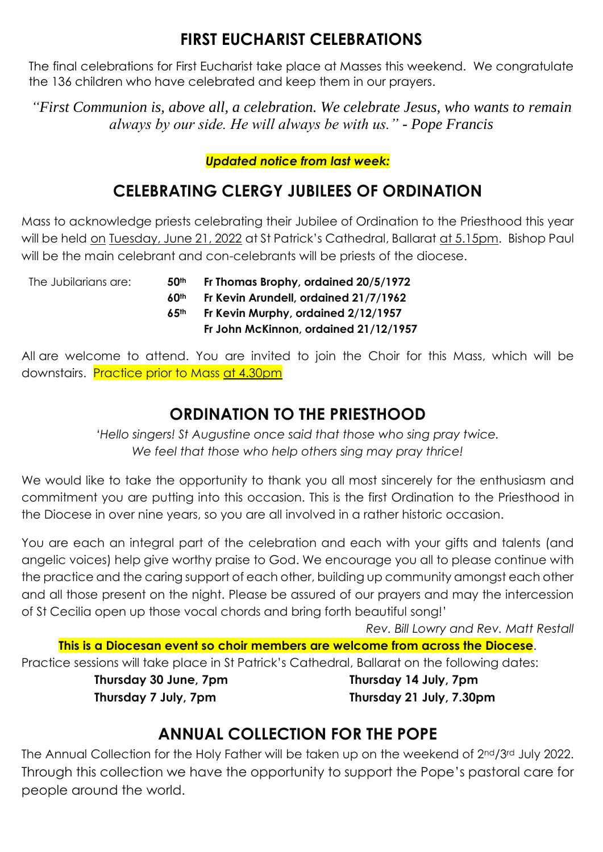# **FIRST EUCHARIST CELEBRATIONS**

The final celebrations for First Eucharist take place at Masses this weekend. We congratulate the 136 children who have celebrated and keep them in our prayers.

*"First Communion is, above all, a celebration. We celebrate Jesus, who wants to remain always by our side. He will always be with us." - Pope Francis*

#### *Updated notice from last week:*

# **CELEBRATING CLERGY JUBILEES OF ORDINATION**

Mass to acknowledge priests celebrating their Jubilee of Ordination to the Priesthood this year will be held on Tuesday, June 21, 2022 at St Patrick's Cathedral, Ballarat at 5.15pm. Bishop Paul will be the main celebrant and con-celebrants will be priests of the diocese.

| The Jubilarians are:<br>50 <sup>th</sup> | Fr Thomas Brophy, ordained 20/5/1972  |
|------------------------------------------|---------------------------------------|
| 60 <sup>th</sup>                         | Fr Kevin Arundell, ordained 21/7/1962 |
| 6.5 <sup>th</sup>                        | Fr Kevin Murphy, ordained 2/12/1957   |
|                                          | Fr John McKinnon, ordained 21/12/1957 |
|                                          |                                       |

All are welcome to attend. You are invited to join the Choir for this Mass, which will be downstairs. Practice prior to Mass at 4.30pm

# **ORDINATION TO THE PRIESTHOOD**

*'Hello singers! St Augustine once said that those who sing pray twice. We feel that those who help others sing may pray thrice!*

We would like to take the opportunity to thank you all most sincerely for the enthusiasm and commitment you are putting into this occasion. This is the first Ordination to the Priesthood in the Diocese in over nine years, so you are all involved in a rather historic occasion.

You are each an integral part of the celebration and each with your gifts and talents (and angelic voices) help give worthy praise to God. We encourage you all to please continue with the practice and the caring support of each other, building up community amongst each other and all those present on the night. Please be assured of our prayers and may the intercession of St Cecilia open up those vocal chords and bring forth beautiful song!'

*Rev. Bill Lowry and Rev. Matt Restall* **This is a Diocesan event so choir members are welcome from across the Diocese**. Practice sessions will take place in St Patrick's Cathedral, Ballarat on the following dates: **Thursday 30 June, 7pm Thursday 14 July, 7pm**

**Thursday 7 July, 7pm Thursday 21 July, 7.30pm**

# **ANNUAL COLLECTION FOR THE POPE**

The Annual Collection for the Holy Father will be taken up on the weekend of 2nd/3rd July 2022. Through this collection we have the opportunity to support the Pope's pastoral care for people around the world.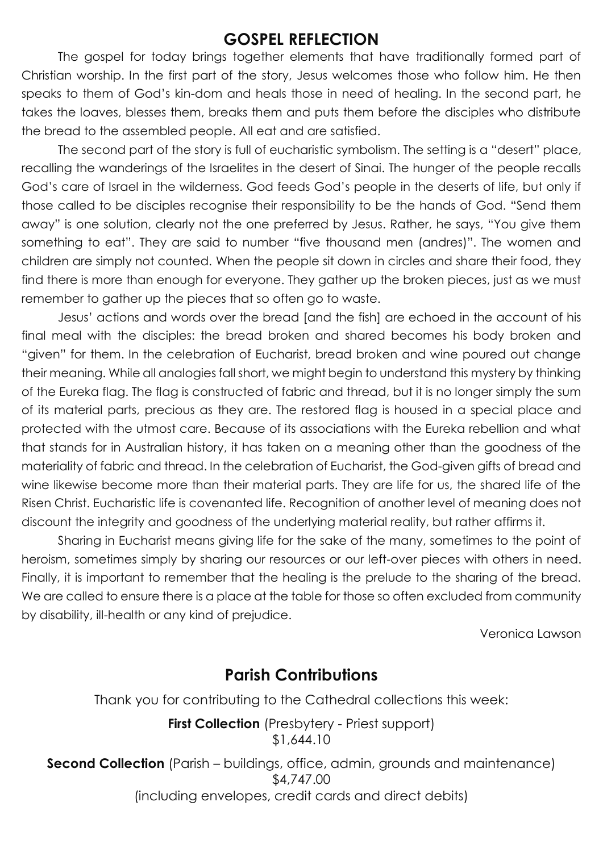### **GOSPEL REFLECTION**

The gospel for today brings together elements that have traditionally formed part of Christian worship. In the first part of the story, Jesus welcomes those who follow him. He then speaks to them of God's kin-dom and heals those in need of healing. In the second part, he takes the loaves, blesses them, breaks them and puts them before the disciples who distribute the bread to the assembled people. All eat and are satisfied.

The second part of the story is full of eucharistic symbolism. The setting is a "desert" place, recalling the wanderings of the Israelites in the desert of Sinai. The hunger of the people recalls God's care of Israel in the wilderness. God feeds God's people in the deserts of life, but only if those called to be disciples recognise their responsibility to be the hands of God. "Send them away" is one solution, clearly not the one preferred by Jesus. Rather, he says, "You give them something to eat". They are said to number "five thousand men (andres)". The women and children are simply not counted. When the people sit down in circles and share their food, they find there is more than enough for everyone. They gather up the broken pieces, just as we must remember to gather up the pieces that so often go to waste.

Jesus' actions and words over the bread [and the fish] are echoed in the account of his final meal with the disciples: the bread broken and shared becomes his body broken and "given" for them. In the celebration of Eucharist, bread broken and wine poured out change their meaning. While all analogies fall short, we might begin to understand this mystery by thinking of the Eureka flag. The flag is constructed of fabric and thread, but it is no longer simply the sum of its material parts, precious as they are. The restored flag is housed in a special place and protected with the utmost care. Because of its associations with the Eureka rebellion and what that stands for in Australian history, it has taken on a meaning other than the goodness of the materiality of fabric and thread. In the celebration of Eucharist, the God-given gifts of bread and wine likewise become more than their material parts. They are life for us, the shared life of the Risen Christ. Eucharistic life is covenanted life. Recognition of another level of meaning does not discount the integrity and goodness of the underlying material reality, but rather affirms it.

Sharing in Eucharist means giving life for the sake of the many, sometimes to the point of heroism, sometimes simply by sharing our resources or our left-over pieces with others in need. Finally, it is important to remember that the healing is the prelude to the sharing of the bread. We are called to ensure there is a place at the table for those so often excluded from community by disability, ill-health or any kind of prejudice.

Veronica Lawson

### **Parish Contributions**

Thank you for contributing to the Cathedral collections this week:

**First Collection** (Presbytery - Priest support) \$1,644.10

**Second Collection** (Parish – buildings, office, admin, grounds and maintenance) \$4,747.00 (including envelopes, credit cards and direct debits)